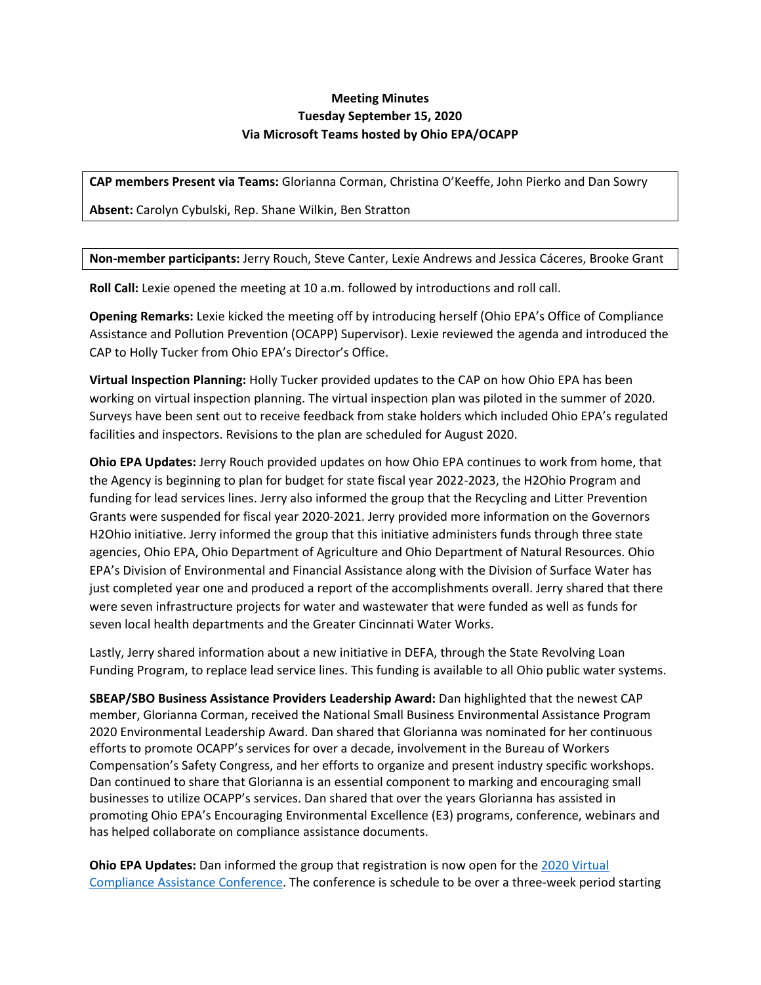## **Meeting Minutes Tuesday September 15, 2020 Via Microsoft Teams hosted by Ohio EPA/OCAPP**

**CAP members Present via Teams:** Glorianna Corman, Christina O'Keeffe, John Pierko and Dan Sowry

**Absent:** Carolyn Cybulski, Rep. Shane Wilkin, Ben Stratton

## **Non-member participants:** Jerry Rouch, Steve Canter, Lexie Andrews and Jessica Cáceres, Brooke Grant

**Roll Call:** Lexie opened the meeting at 10 a.m. followed by introductions and roll call.

**Opening Remarks:** Lexie kicked the meeting off by introducing herself (Ohio EPA's Office of Compliance Assistance and Pollution Prevention (OCAPP) Supervisor). Lexie reviewed the agenda and introduced the CAP to Holly Tucker from Ohio EPA's Director's Office.

**Virtual Inspection Planning:** Holly Tucker provided updates to the CAP on how Ohio EPA has been working on virtual inspection planning. The virtual inspection plan was piloted in the summer of 2020. Surveys have been sent out to receive feedback from stake holders which included Ohio EPA's regulated facilities and inspectors. Revisions to the plan are scheduled for August 2020.

**Ohio EPA Updates:** Jerry Rouch provided updates on how Ohio EPA continues to work from home, that the Agency is beginning to plan for budget for state fiscal year 2022-2023, the H2Ohio Program and funding for lead services lines. Jerry also informed the group that the Recycling and Litter Prevention Grants were suspended for fiscal year 2020-2021. Jerry provided more information on the Governors H2Ohio initiative. Jerry informed the group that this initiative administers funds through three state agencies, Ohio EPA, Ohio Department of Agriculture and Ohio Department of Natural Resources. Ohio EPA's Division of Environmental and Financial Assistance along with the Division of Surface Water has just completed year one and produced a report of the accomplishments overall. Jerry shared that there were seven infrastructure projects for water and wastewater that were funded as well as funds for seven local health departments and the Greater Cincinnati Water Works.

Lastly, Jerry shared information about a new initiative in DEFA, through the State Revolving Loan Funding Program, to replace lead service lines. This funding is available to all Ohio public water systems.

**SBEAP/SBO Business Assistance Providers Leadership Award:** Dan highlighted that the newest CAP member, Glorianna Corman, received the National Small Business Environmental Assistance Program 2020 Environmental Leadership Award. Dan shared that Glorianna was nominated for her continuous efforts to promote OCAPP's services for over a decade, involvement in the Bureau of Workers Compensation's Safety Congress, and her efforts to organize and present industry specific workshops. Dan continued to share that Glorianna is an essential component to marking and encouraging small businesses to utilize OCAPP's services. Dan shared that over the years Glorianna has assisted in promoting Ohio EPA's Encouraging Environmental Excellence (E3) programs, conference, webinars and has helped collaborate on compliance assistance documents.

**Ohio EPA Updates:** Dan informed the group that registration is now open for th[e 2020 Virtual](https://www.gotostage.com/channel/ohioepa)  [Compliance Assistance Conference.](https://www.gotostage.com/channel/ohioepa) The conference is schedule to be over a three-week period starting